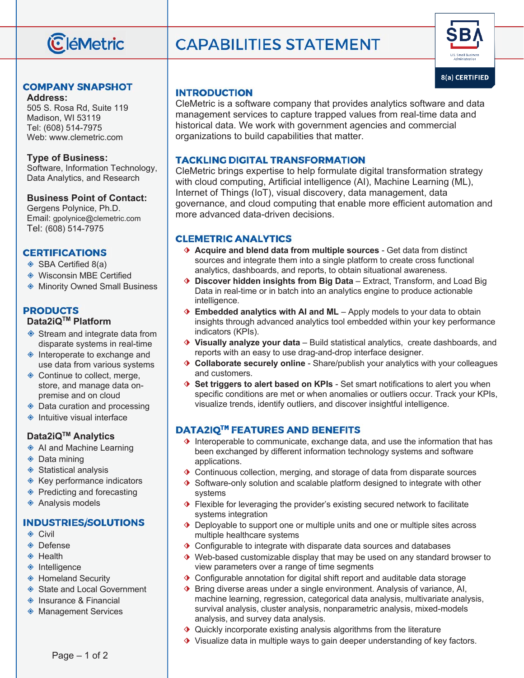

#### **COMPANY SNAPSHOT**

**Address:**  505 S. Rosa Rd, Suite 119 Madison, WI 53119 Tel: (608) 514-7975 Web: www.clemetric.com

#### **Type of Business:**

Software, Information Technology, Data Analytics, and Research

#### **Business Point of Contact:**

Gergens Polynice, Ph.D. Email: gpolynice@clemetric.com Tel: (608) 514-7975

#### **CERTIFICATIONS**

- ◈ SBA Certified 8(a)
- ◈ Wisconsin MBE Certified
- ◈ Minority Owned Small Business

# **PRODUCTS**

# **Data2iQ™ Platform**

- ◈ Stream and integrate data from disparate systems in real-time
- ◈ Interoperate to exchange and use data from various systems
- ◈ Continue to collect, merge, store, and manage data onpremise and on cloud
- ◈ Data curation and processing
- ◈ Intuitive visual interface

#### **Data2iQTM Analytics**

- ◈ AI and Machine Learning
- ◈ Data mining
- ◈ Statistical analysis
- ◈ Key performance indicators
- ◈ Predicting and forecasting
- ◈ Analysis models

#### **INDUSTRIES/SOLUTIONS**

- ◈ Civil
- ◈ Defense
- ◈ Health
- ◈ Intelligence
- ◈ Homeland Security
- ◈ State and Local Government
- ◈ Insurance & Financial
- ◈ Management Services

# **CAPABILITIES STATEMENT**



### **INTRODUCTION**

CleMetric is a software company that provides analytics software and data management services to capture trapped values from real-time data and historical data. We work with government agencies and commercial organizations to build capabilities that matter.

#### **TACKLING DIGITAL TRANSFORMATION**

CleMetric brings expertise to help formulate digital transformation strategy with cloud computing, Artificial intelligence (AI), Machine Learning (ML), Internet of Things (IoT), visual discovery, data management, data governance, and cloud computing that enable more efficient automation and more advanced data-driven decisions.

#### **CLEMETRIC ANALYTICS**

- ⬗ **Acquire and blend data from multiple sources** Get data from distinct sources and integrate them into a single platform to create cross functional analytics, dashboards, and reports, to obtain situational awareness.
- ⬗ **Discover hidden insights from Big Data** Extract, Transform, and Load Big Data in real-time or in batch into an analytics engine to produce actionable intelligence.
- ♦ **Embedded analytics with AI and ML** Apply models to your data to obtain insights through advanced analytics tool embedded within your key performance indicators (KPIs).
- ⬗ **Visually analyze your data** Build statistical analytics, create dashboards, and reports with an easy to use drag-and-drop interface designer.
- ⬗ **Collaborate securely online** Share/publish your analytics with your colleagues and customers.
- ⬗ **Set triggers to alert based on KPIs**  Set smart notifications to alert you when specific conditions are met or when anomalies or outliers occur. Track your KPIs, visualize trends, identify outliers, and discover insightful intelligence.

# **DATA2IQ™ FEATURES AND BENEFITS**

- ♦ Interoperable to communicate, exchange data, and use the information that has been exchanged by different information technology systems and software applications.
- ♦ Continuous collection, merging, and storage of data from disparate sources
- ♦ Software-only solution and scalable platform designed to integrate with other systems
- ♦ Flexible for leveraging the provider's existing secured network to facilitate systems integration
- ♦ Deployable to support one or multiple units and one or multiple sites across multiple healthcare systems
- ♦ Configurable to integrate with disparate data sources and databases
- ⬗ Web-based customizable display that may be used on any standard browser to view parameters over a range of time segments
- ♦ Configurable annotation for digital shift report and auditable data storage
- ◆ Bring diverse areas under a single environment. Analysis of variance, AI, machine learning, regression, categorical data analysis, multivariate analysis, survival analysis, cluster analysis, nonparametric analysis, mixed-models analysis, and survey data analysis.
- ♦ Quickly incorporate existing analysis algorithms from the literature
- ♦ Visualize data in multiple ways to gain deeper understanding of key factors.